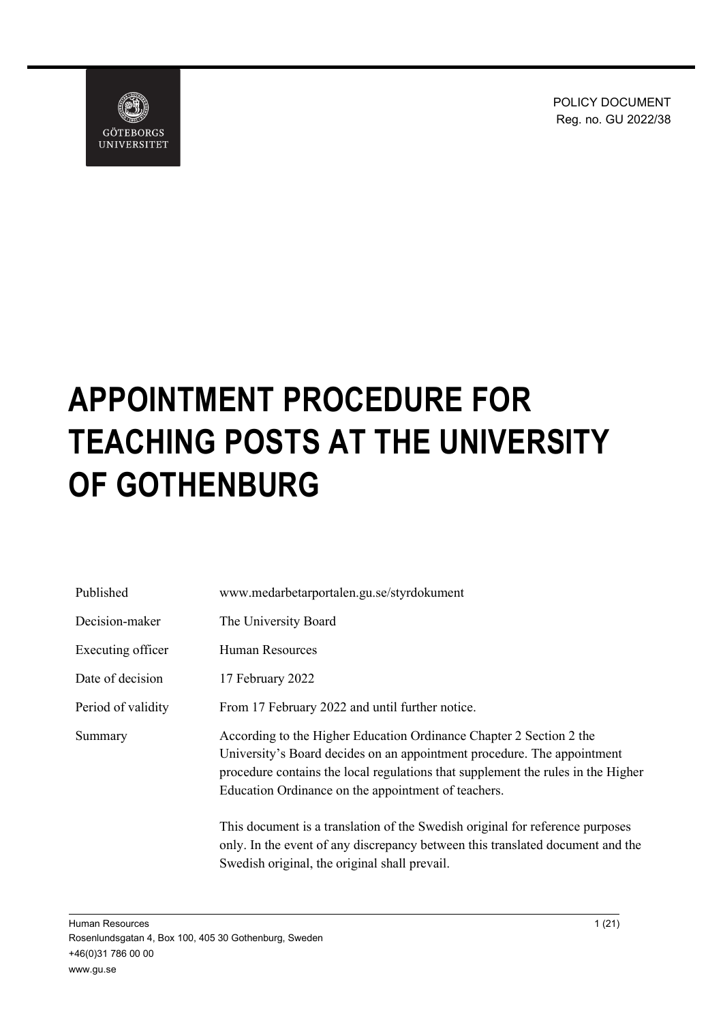POLICY DOCUMENT Reg. no. GU 2022/38



# **APPOINTMENT PROCEDURE FOR TEACHING POSTS AT THE UNIVERSITY OF GOTHENBURG**

| Published          | www.medarbetarportalen.gu.se/styrdokument                                                                                                                                                                                                                                                 |
|--------------------|-------------------------------------------------------------------------------------------------------------------------------------------------------------------------------------------------------------------------------------------------------------------------------------------|
| Decision-maker     | The University Board                                                                                                                                                                                                                                                                      |
| Executing officer  | Human Resources                                                                                                                                                                                                                                                                           |
| Date of decision   | 17 February 2022                                                                                                                                                                                                                                                                          |
| Period of validity | From 17 February 2022 and until further notice.                                                                                                                                                                                                                                           |
| Summary            | According to the Higher Education Ordinance Chapter 2 Section 2 the<br>University's Board decides on an appointment procedure. The appointment<br>procedure contains the local regulations that supplement the rules in the Higher<br>Education Ordinance on the appointment of teachers. |
|                    | This document is a translation of the Swedish original for reference purposes<br>only. In the event of any discrepancy between this translated document and the                                                                                                                           |

Swedish original, the original shall prevail.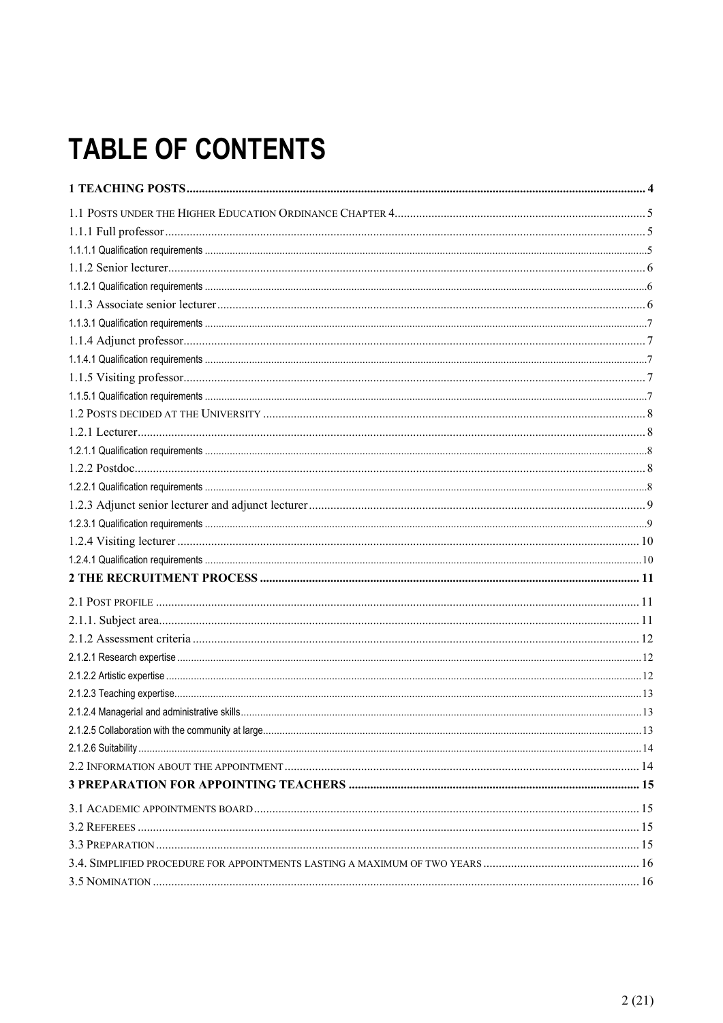## **TABLE OF CONTENTS**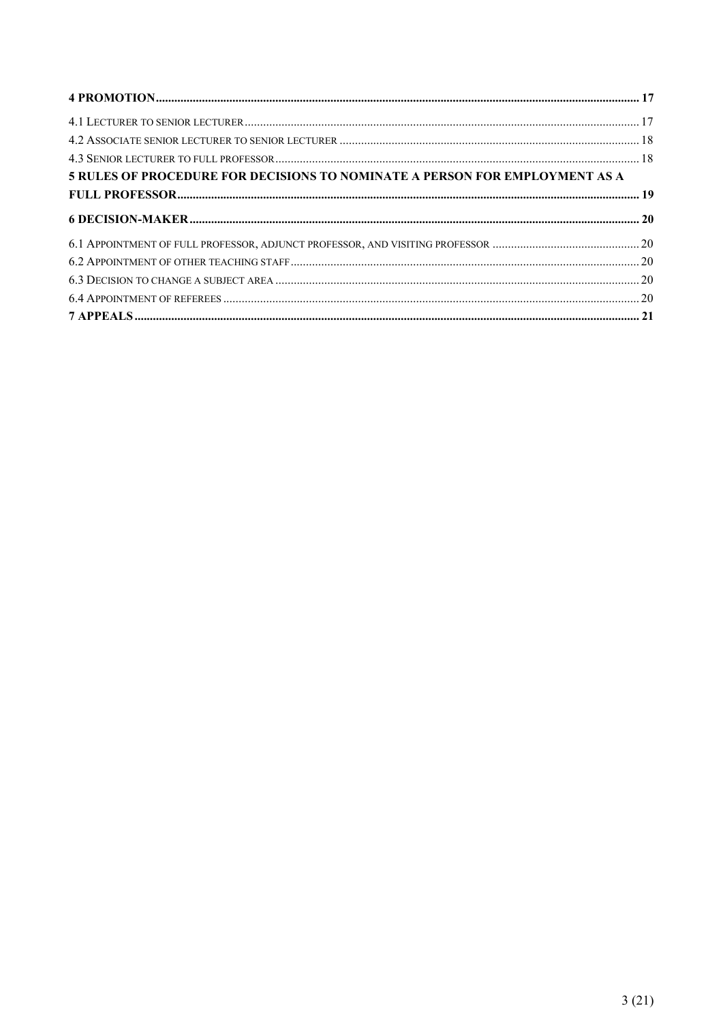| 5 RULES OF PROCEDURE FOR DECISIONS TO NOMINATE A PERSON FOR EMPLOYMENT AS A |  |
|-----------------------------------------------------------------------------|--|
|                                                                             |  |
|                                                                             |  |
|                                                                             |  |
|                                                                             |  |
|                                                                             |  |
|                                                                             |  |
|                                                                             |  |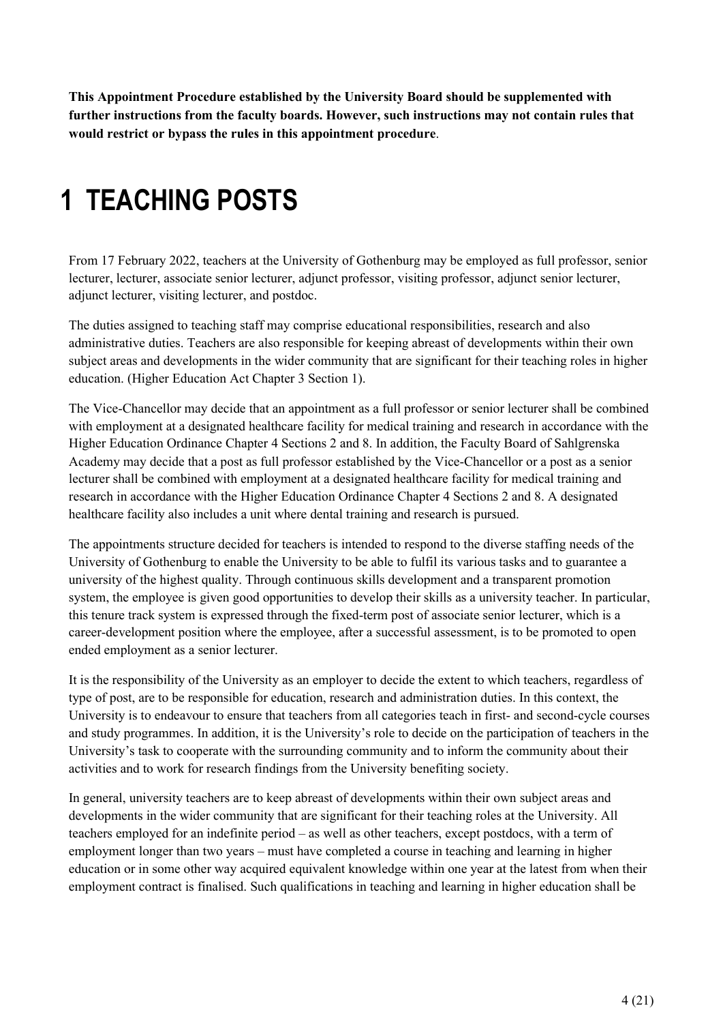**This Appointment Procedure established by the University Board should be supplemented with further instructions from the faculty boards. However, such instructions may not contain rules that would restrict or bypass the rules in this appointment procedure**.

## <span id="page-3-0"></span>**1 TEACHING POSTS**

From 17 February 2022, teachers at the University of Gothenburg may be employed as full professor, senior lecturer, lecturer, associate senior lecturer, adjunct professor, visiting professor, adjunct senior lecturer, adjunct lecturer, visiting lecturer, and postdoc.

The duties assigned to teaching staff may comprise educational responsibilities, research and also administrative duties. Teachers are also responsible for keeping abreast of developments within their own subject areas and developments in the wider community that are significant for their teaching roles in higher education. (Higher Education Act Chapter 3 Section 1).

The Vice-Chancellor may decide that an appointment as a full professor or senior lecturer shall be combined with employment at a designated healthcare facility for medical training and research in accordance with the Higher Education Ordinance Chapter 4 Sections 2 and 8. In addition, the Faculty Board of Sahlgrenska Academy may decide that a post as full professor established by the Vice-Chancellor or a post as a senior lecturer shall be combined with employment at a designated healthcare facility for medical training and research in accordance with the Higher Education Ordinance Chapter 4 Sections 2 and 8. A designated healthcare facility also includes a unit where dental training and research is pursued.

The appointments structure decided for teachers is intended to respond to the diverse staffing needs of the University of Gothenburg to enable the University to be able to fulfil its various tasks and to guarantee a university of the highest quality. Through continuous skills development and a transparent promotion system, the employee is given good opportunities to develop their skills as a university teacher. In particular, this tenure track system is expressed through the fixed-term post of associate senior lecturer, which is a career-development position where the employee, after a successful assessment, is to be promoted to open ended employment as a senior lecturer.

It is the responsibility of the University as an employer to decide the extent to which teachers, regardless of type of post, are to be responsible for education, research and administration duties. In this context, the University is to endeavour to ensure that teachers from all categories teach in first- and second-cycle courses and study programmes. In addition, it is the University's role to decide on the participation of teachers in the University's task to cooperate with the surrounding community and to inform the community about their activities and to work for research findings from the University benefiting society.

In general, university teachers are to keep abreast of developments within their own subject areas and developments in the wider community that are significant for their teaching roles at the University. All teachers employed for an indefinite period – as well as other teachers, except postdocs, with a term of employment longer than two years – must have completed a course in teaching and learning in higher education or in some other way acquired equivalent knowledge within one year at the latest from when their employment contract is finalised. Such qualifications in teaching and learning in higher education shall be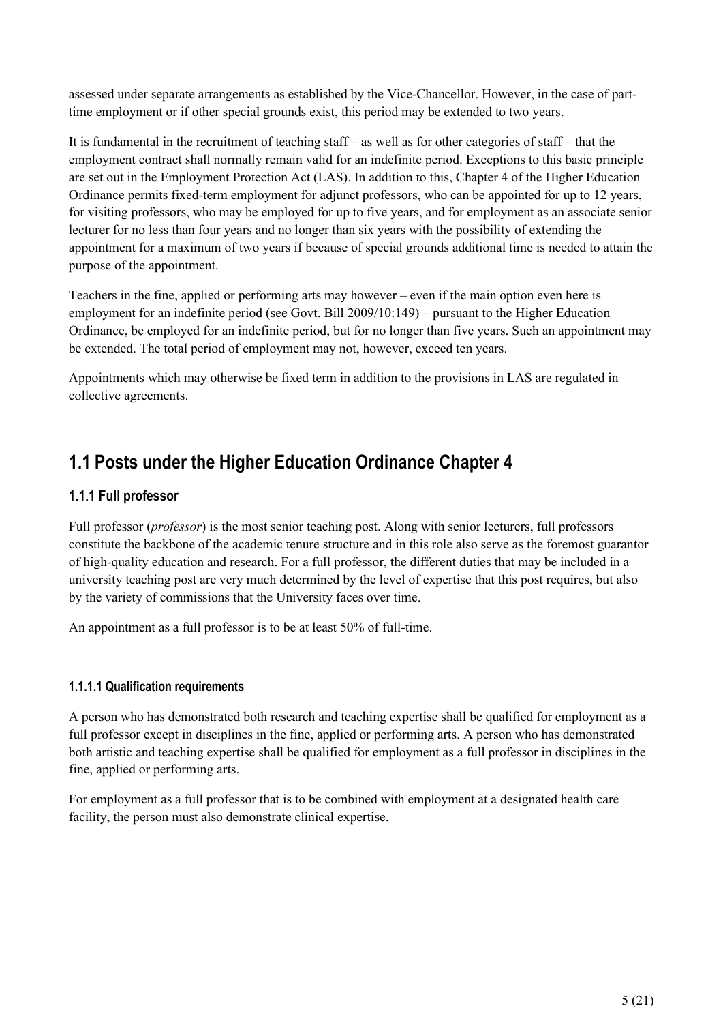assessed under separate arrangements as established by the Vice-Chancellor. However, in the case of parttime employment or if other special grounds exist, this period may be extended to two years.

It is fundamental in the recruitment of teaching staff – as well as for other categories of staff – that the employment contract shall normally remain valid for an indefinite period. Exceptions to this basic principle are set out in the Employment Protection Act (LAS). In addition to this, Chapter 4 of the Higher Education Ordinance permits fixed-term employment for adjunct professors, who can be appointed for up to 12 years, for visiting professors, who may be employed for up to five years, and for employment as an associate senior lecturer for no less than four years and no longer than six years with the possibility of extending the appointment for a maximum of two years if because of special grounds additional time is needed to attain the purpose of the appointment.

Teachers in the fine, applied or performing arts may however – even if the main option even here is employment for an indefinite period (see Govt. Bill 2009/10:149) – pursuant to the Higher Education Ordinance, be employed for an indefinite period, but for no longer than five years. Such an appointment may be extended. The total period of employment may not, however, exceed ten years.

Appointments which may otherwise be fixed term in addition to the provisions in LAS are regulated in collective agreements.

## <span id="page-4-0"></span>**1.1 Posts under the Higher Education Ordinance Chapter 4**

#### <span id="page-4-1"></span>**1.1.1 Full professor**

Full professor (*professor*) is the most senior teaching post. Along with senior lecturers, full professors constitute the backbone of the academic tenure structure and in this role also serve as the foremost guarantor of high-quality education and research. For a full professor, the different duties that may be included in a university teaching post are very much determined by the level of expertise that this post requires, but also by the variety of commissions that the University faces over time.

An appointment as a full professor is to be at least 50% of full-time.

#### <span id="page-4-2"></span>**1.1.1.1 Qualification requirements**

A person who has demonstrated both research and teaching expertise shall be qualified for employment as a full professor except in disciplines in the fine, applied or performing arts. A person who has demonstrated both artistic and teaching expertise shall be qualified for employment as a full professor in disciplines in the fine, applied or performing arts.

For employment as a full professor that is to be combined with employment at a designated health care facility, the person must also demonstrate clinical expertise.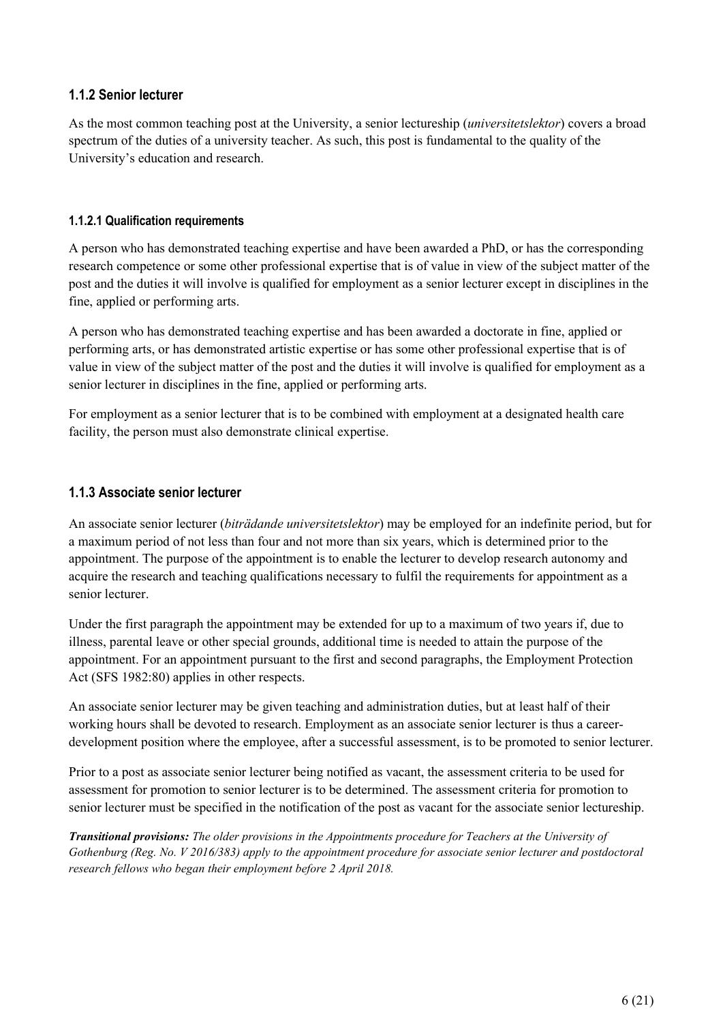#### <span id="page-5-0"></span>**1.1.2 Senior lecturer**

As the most common teaching post at the University, a senior lectureship (*universitetslektor*) covers a broad spectrum of the duties of a university teacher. As such, this post is fundamental to the quality of the University's education and research.

#### <span id="page-5-1"></span>**1.1.2.1 Qualification requirements**

A person who has demonstrated teaching expertise and have been awarded a PhD, or has the corresponding research competence or some other professional expertise that is of value in view of the subject matter of the post and the duties it will involve is qualified for employment as a senior lecturer except in disciplines in the fine, applied or performing arts.

A person who has demonstrated teaching expertise and has been awarded a doctorate in fine, applied or performing arts, or has demonstrated artistic expertise or has some other professional expertise that is of value in view of the subject matter of the post and the duties it will involve is qualified for employment as a senior lecturer in disciplines in the fine, applied or performing arts.

For employment as a senior lecturer that is to be combined with employment at a designated health care facility, the person must also demonstrate clinical expertise.

#### <span id="page-5-2"></span>**1.1.3 Associate senior lecturer**

An associate senior lecturer (*biträdande universitetslektor*) may be employed for an indefinite period, but for a maximum period of not less than four and not more than six years, which is determined prior to the appointment. The purpose of the appointment is to enable the lecturer to develop research autonomy and acquire the research and teaching qualifications necessary to fulfil the requirements for appointment as a senior lecturer.

Under the first paragraph the appointment may be extended for up to a maximum of two years if, due to illness, parental leave or other special grounds, additional time is needed to attain the purpose of the appointment. For an appointment pursuant to the first and second paragraphs, the Employment Protection Act (SFS 1982:80) applies in other respects.

An associate senior lecturer may be given teaching and administration duties, but at least half of their working hours shall be devoted to research. Employment as an associate senior lecturer is thus a careerdevelopment position where the employee, after a successful assessment, is to be promoted to senior lecturer.

Prior to a post as associate senior lecturer being notified as vacant, the assessment criteria to be used for assessment for promotion to senior lecturer is to be determined. The assessment criteria for promotion to senior lecturer must be specified in the notification of the post as vacant for the associate senior lectureship.

*Transitional provisions: The older provisions in the Appointments procedure for Teachers at the University of Gothenburg (Reg. No. V 2016/383) apply to the appointment procedure for associate senior lecturer and postdoctoral research fellows who began their employment before 2 April 2018.*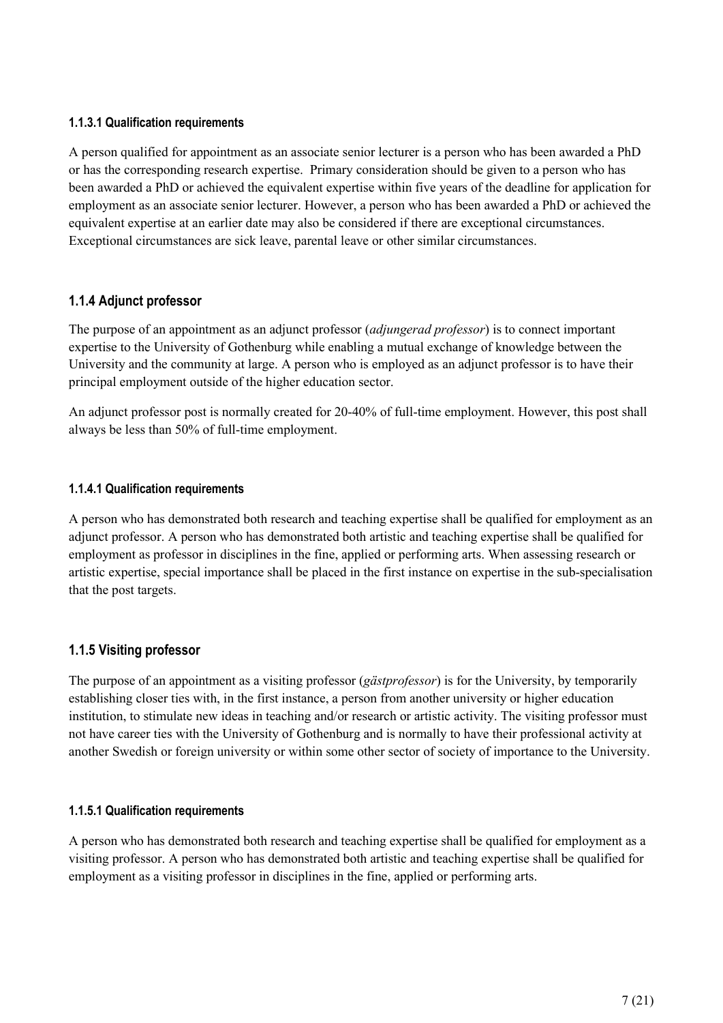#### <span id="page-6-0"></span>**1.1.3.1 Qualification requirements**

A person qualified for appointment as an associate senior lecturer is a person who has been awarded a PhD or has the corresponding research expertise. Primary consideration should be given to a person who has been awarded a PhD or achieved the equivalent expertise within five years of the deadline for application for employment as an associate senior lecturer. However, a person who has been awarded a PhD or achieved the equivalent expertise at an earlier date may also be considered if there are exceptional circumstances. Exceptional circumstances are sick leave, parental leave or other similar circumstances.

#### <span id="page-6-1"></span>**1.1.4 Adjunct professor**

The purpose of an appointment as an adjunct professor (*adjungerad professor*) is to connect important expertise to the University of Gothenburg while enabling a mutual exchange of knowledge between the University and the community at large. A person who is employed as an adjunct professor is to have their principal employment outside of the higher education sector.

An adjunct professor post is normally created for 20-40% of full-time employment. However, this post shall always be less than 50% of full-time employment.

#### <span id="page-6-2"></span>**1.1.4.1 Qualification requirements**

A person who has demonstrated both research and teaching expertise shall be qualified for employment as an adjunct professor. A person who has demonstrated both artistic and teaching expertise shall be qualified for employment as professor in disciplines in the fine, applied or performing arts. When assessing research or artistic expertise, special importance shall be placed in the first instance on expertise in the sub-specialisation that the post targets.

#### <span id="page-6-3"></span>**1.1.5 Visiting professor**

The purpose of an appointment as a visiting professor (*gästprofessor*) is for the University, by temporarily establishing closer ties with, in the first instance, a person from another university or higher education institution, to stimulate new ideas in teaching and/or research or artistic activity. The visiting professor must not have career ties with the University of Gothenburg and is normally to have their professional activity at another Swedish or foreign university or within some other sector of society of importance to the University.

#### <span id="page-6-4"></span>**1.1.5.1 Qualification requirements**

A person who has demonstrated both research and teaching expertise shall be qualified for employment as a visiting professor. A person who has demonstrated both artistic and teaching expertise shall be qualified for employment as a visiting professor in disciplines in the fine, applied or performing arts.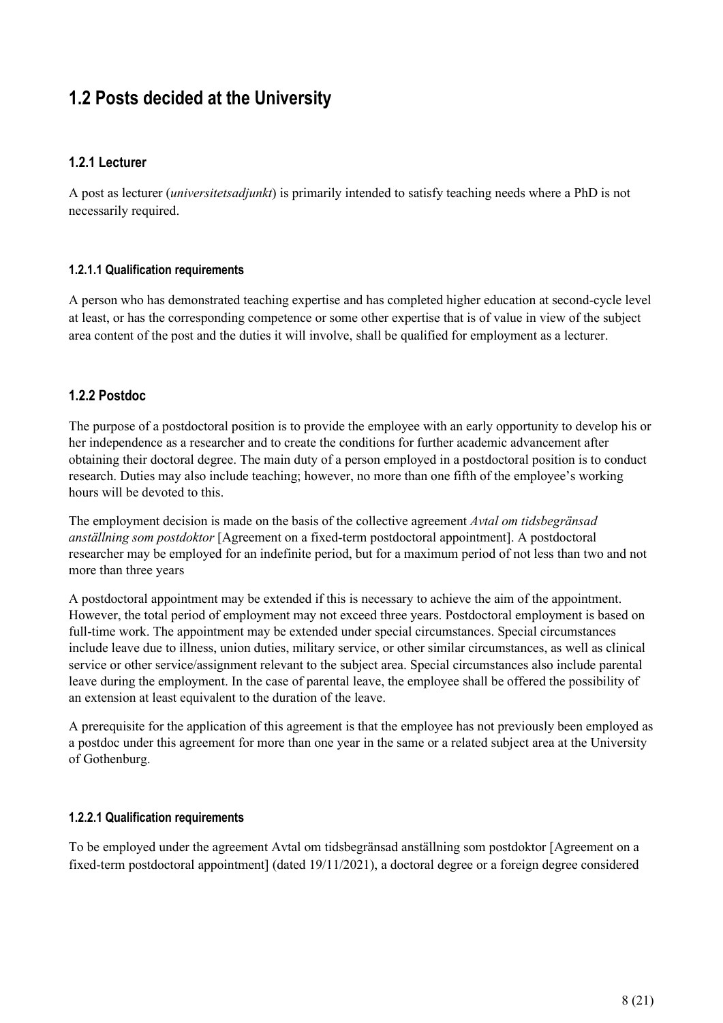## <span id="page-7-0"></span>**1.2 Posts decided at the University**

#### <span id="page-7-1"></span>**1.2.1 Lecturer**

A post as lecturer (*universitetsadjunkt*) is primarily intended to satisfy teaching needs where a PhD is not necessarily required.

#### <span id="page-7-2"></span>**1.2.1.1 Qualification requirements**

A person who has demonstrated teaching expertise and has completed higher education at second-cycle level at least, or has the corresponding competence or some other expertise that is of value in view of the subject area content of the post and the duties it will involve, shall be qualified for employment as a lecturer.

#### <span id="page-7-3"></span>**1.2.2 Postdoc**

The purpose of a postdoctoral position is to provide the employee with an early opportunity to develop his or her independence as a researcher and to create the conditions for further academic advancement after obtaining their doctoral degree. The main duty of a person employed in a postdoctoral position is to conduct research. Duties may also include teaching; however, no more than one fifth of the employee's working hours will be devoted to this.

The employment decision is made on the basis of the collective agreement *Avtal om tidsbegränsad anställning som postdoktor* [Agreement on a fixed-term postdoctoral appointment]. A postdoctoral researcher may be employed for an indefinite period, but for a maximum period of not less than two and not more than three years

A postdoctoral appointment may be extended if this is necessary to achieve the aim of the appointment. However, the total period of employment may not exceed three years. Postdoctoral employment is based on full-time work. The appointment may be extended under special circumstances. Special circumstances include leave due to illness, union duties, military service, or other similar circumstances, as well as clinical service or other service/assignment relevant to the subject area. Special circumstances also include parental leave during the employment. In the case of parental leave, the employee shall be offered the possibility of an extension at least equivalent to the duration of the leave.

A prerequisite for the application of this agreement is that the employee has not previously been employed as a postdoc under this agreement for more than one year in the same or a related subject area at the University of Gothenburg.

#### <span id="page-7-4"></span>**1.2.2.1 Qualification requirements**

To be employed under the agreement Avtal om tidsbegränsad anställning som postdoktor [Agreement on a fixed-term postdoctoral appointment] (dated 19/11/2021), a doctoral degree or a foreign degree considered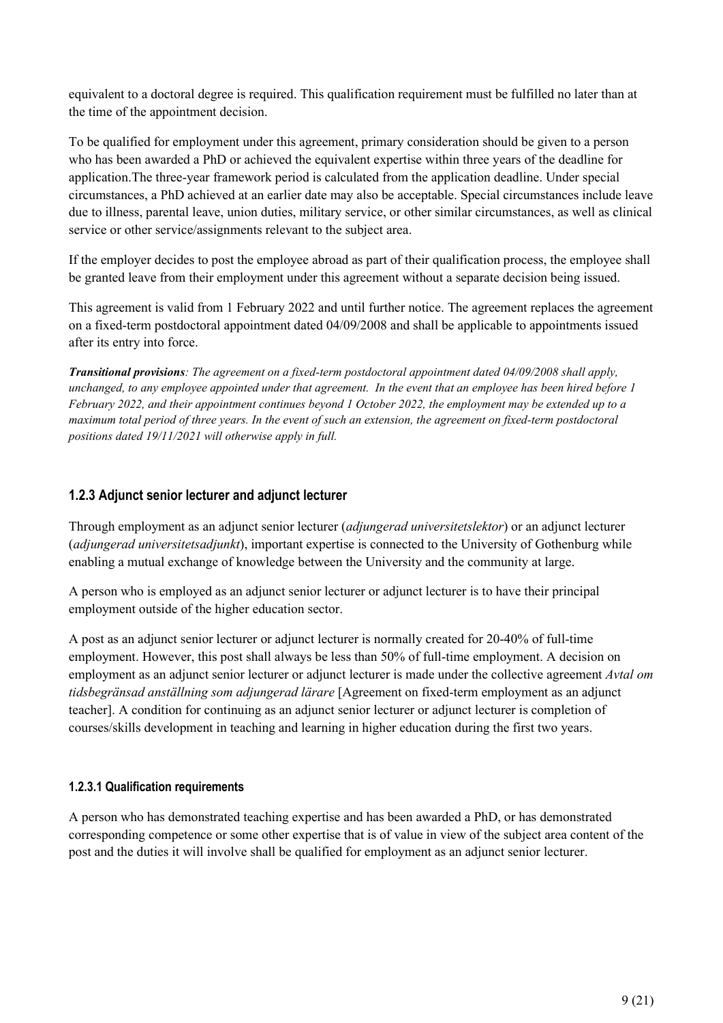equivalent to a doctoral degree is required. This qualification requirement must be fulfilled no later than at the time of the appointment decision.

To be qualified for employment under this agreement, primary consideration should be given to a person who has been awarded a PhD or achieved the equivalent expertise within three years of the deadline for application.The three-year framework period is calculated from the application deadline. Under special circumstances, a PhD achieved at an earlier date may also be acceptable. Special circumstances include leave due to illness, parental leave, union duties, military service, or other similar circumstances, as well as clinical service or other service/assignments relevant to the subject area.

If the employer decides to post the employee abroad as part of their qualification process, the employee shall be granted leave from their employment under this agreement without a separate decision being issued.

This agreement is valid from 1 February 2022 and until further notice. The agreement replaces the agreement on a fixed-term postdoctoral appointment dated 04/09/2008 and shall be applicable to appointments issued after its entry into force.

*Transitional provisions: The agreement on a fixed-term postdoctoral appointment dated 04/09/2008 shall apply, unchanged, to any employee appointed under that agreement. In the event that an employee has been hired before 1 February 2022, and their appointment continues beyond 1 October 2022, the employment may be extended up to a maximum total period of three years. In the event of such an extension, the agreement on fixed-term postdoctoral positions dated 19/11/2021 will otherwise apply in full.*

#### <span id="page-8-0"></span>**1.2.3 Adjunct senior lecturer and adjunct lecturer**

Through employment as an adjunct senior lecturer (*adjungerad universitetslektor*) or an adjunct lecturer (*adjungerad universitetsadjunkt*), important expertise is connected to the University of Gothenburg while enabling a mutual exchange of knowledge between the University and the community at large.

A person who is employed as an adjunct senior lecturer or adjunct lecturer is to have their principal employment outside of the higher education sector.

A post as an adjunct senior lecturer or adjunct lecturer is normally created for 20-40% of full-time employment. However, this post shall always be less than 50% of full-time employment. A decision on employment as an adjunct senior lecturer or adjunct lecturer is made under the collective agreement *Avtal om tidsbegränsad anställning som adjungerad lärare* [Agreement on fixed-term employment as an adjunct teacher]. A condition for continuing as an adjunct senior lecturer or adjunct lecturer is completion of courses/skills development in teaching and learning in higher education during the first two years.

#### <span id="page-8-1"></span>**1.2.3.1 Qualification requirements**

A person who has demonstrated teaching expertise and has been awarded a PhD, or has demonstrated corresponding competence or some other expertise that is of value in view of the subject area content of the post and the duties it will involve shall be qualified for employment as an adjunct senior lecturer.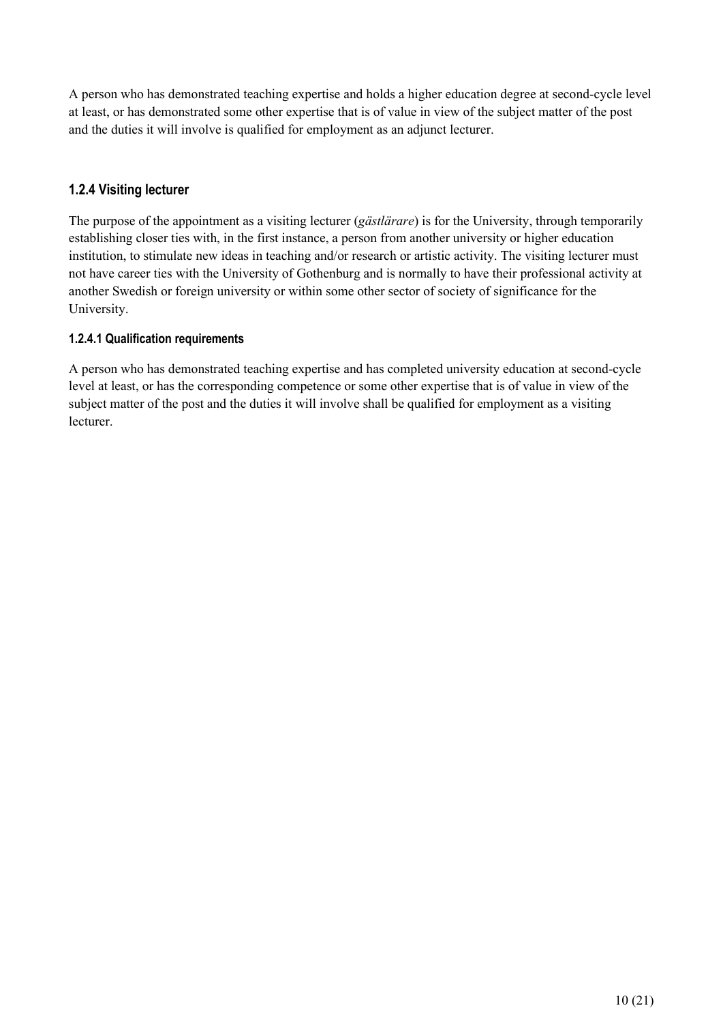A person who has demonstrated teaching expertise and holds a higher education degree at second-cycle level at least, or has demonstrated some other expertise that is of value in view of the subject matter of the post and the duties it will involve is qualified for employment as an adjunct lecturer.

#### <span id="page-9-0"></span>**1.2.4 Visiting lecturer**

The purpose of the appointment as a visiting lecturer (*gästlärare*) is for the University, through temporarily establishing closer ties with, in the first instance, a person from another university or higher education institution, to stimulate new ideas in teaching and/or research or artistic activity. The visiting lecturer must not have career ties with the University of Gothenburg and is normally to have their professional activity at another Swedish or foreign university or within some other sector of society of significance for the University.

#### <span id="page-9-1"></span>**1.2.4.1 Qualification requirements**

A person who has demonstrated teaching expertise and has completed university education at second-cycle level at least, or has the corresponding competence or some other expertise that is of value in view of the subject matter of the post and the duties it will involve shall be qualified for employment as a visiting lecturer.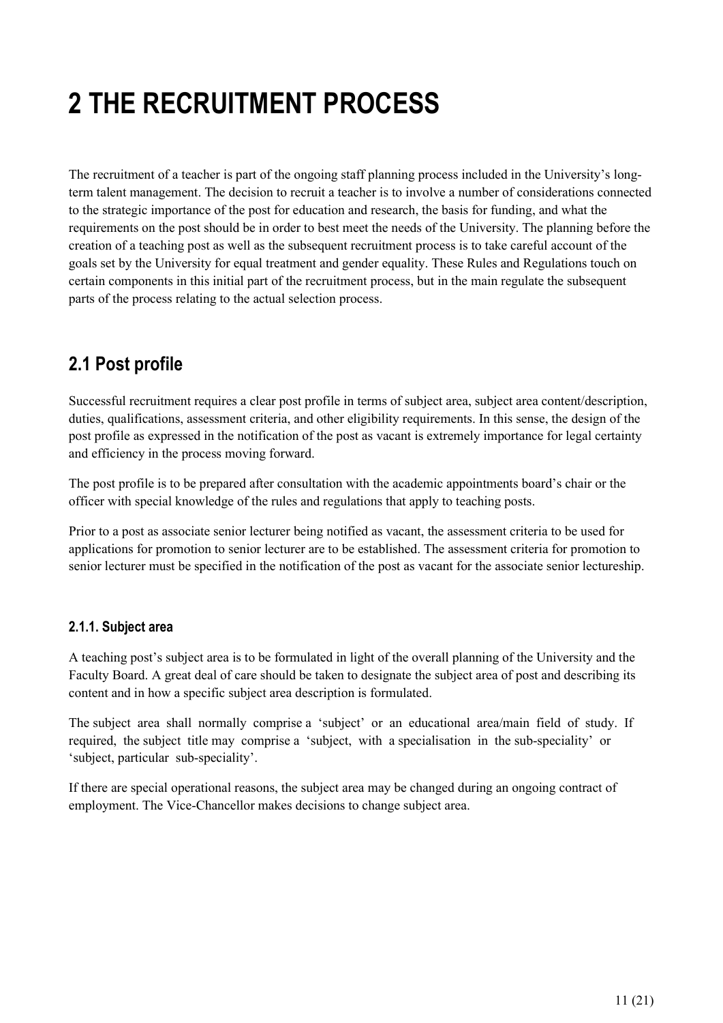## <span id="page-10-0"></span>**2 THE RECRUITMENT PROCESS**

The recruitment of a teacher is part of the ongoing staff planning process included in the University's longterm talent management. The decision to recruit a teacher is to involve a number of considerations connected to the strategic importance of the post for education and research, the basis for funding, and what the requirements on the post should be in order to best meet the needs of the University. The planning before the creation of a teaching post as well as the subsequent recruitment process is to take careful account of the goals set by the University for equal treatment and gender equality. These Rules and Regulations touch on certain components in this initial part of the recruitment process, but in the main regulate the subsequent parts of the process relating to the actual selection process.

## <span id="page-10-1"></span>**2.1 Post profile**

Successful recruitment requires a clear post profile in terms of subject area, subject area content/description, duties, qualifications, assessment criteria, and other eligibility requirements. In this sense, the design of the post profile as expressed in the notification of the post as vacant is extremely importance for legal certainty and efficiency in the process moving forward.

The post profile is to be prepared after consultation with the academic appointments board's chair or the officer with special knowledge of the rules and regulations that apply to teaching posts.

Prior to a post as associate senior lecturer being notified as vacant, the assessment criteria to be used for applications for promotion to senior lecturer are to be established. The assessment criteria for promotion to senior lecturer must be specified in the notification of the post as vacant for the associate senior lectureship.

#### <span id="page-10-2"></span>**2.1.1. Subject area**

A teaching post's subject area is to be formulated in light of the overall planning of the University and the Faculty Board. A great deal of care should be taken to designate the subject area of post and describing its content and in how a specific subject area description is formulated.

The subject area shall normally comprise a 'subject' or an educational area/main field of study. If required, the subject title may comprise a 'subject, with a specialisation in the sub-speciality' or 'subject, particular sub-speciality'.

If there are special operational reasons, the subject area may be changed during an ongoing contract of employment. The Vice-Chancellor makes decisions to change subject area.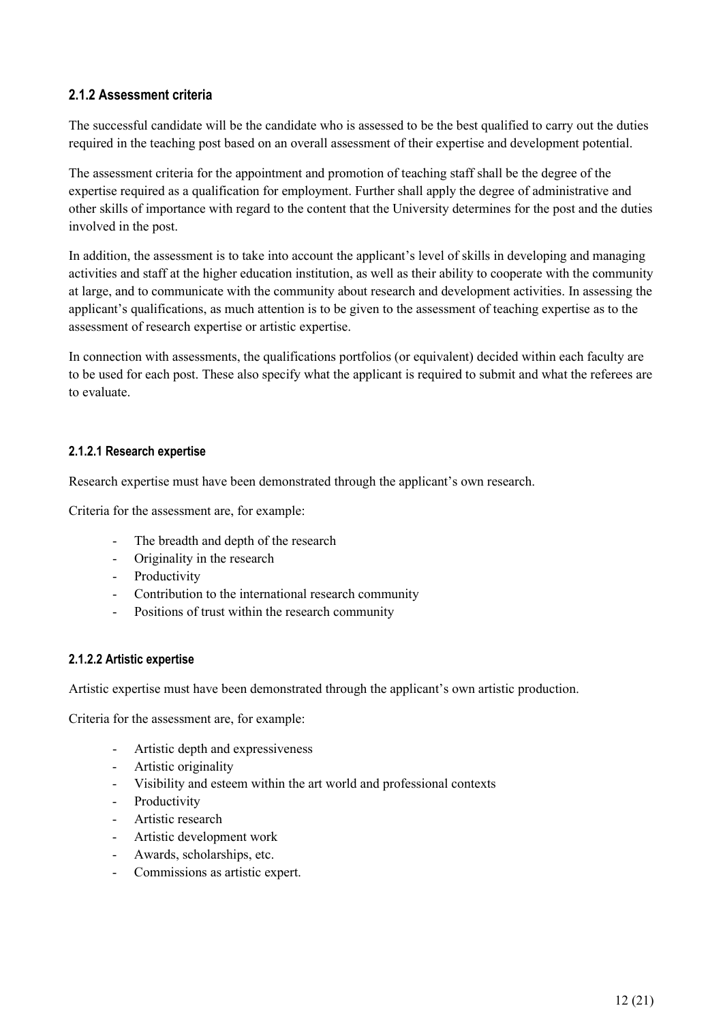#### <span id="page-11-0"></span>**2.1.2 Assessment criteria**

The successful candidate will be the candidate who is assessed to be the best qualified to carry out the duties required in the teaching post based on an overall assessment of their expertise and development potential.

The assessment criteria for the appointment and promotion of teaching staff shall be the degree of the expertise required as a qualification for employment. Further shall apply the degree of administrative and other skills of importance with regard to the content that the University determines for the post and the duties involved in the post.

In addition, the assessment is to take into account the applicant's level of skills in developing and managing activities and staff at the higher education institution, as well as their ability to cooperate with the community at large, and to communicate with the community about research and development activities. In assessing the applicant's qualifications, as much attention is to be given to the assessment of teaching expertise as to the assessment of research expertise or artistic expertise.

In connection with assessments, the qualifications portfolios (or equivalent) decided within each faculty are to be used for each post. These also specify what the applicant is required to submit and what the referees are to evaluate.

#### <span id="page-11-1"></span>**2.1.2.1 Research expertise**

Research expertise must have been demonstrated through the applicant's own research.

Criteria for the assessment are, for example:

- The breadth and depth of the research
- Originality in the research
- Productivity
- Contribution to the international research community
- Positions of trust within the research community

#### <span id="page-11-2"></span>**2.1.2.2 Artistic expertise**

Artistic expertise must have been demonstrated through the applicant's own artistic production.

Criteria for the assessment are, for example:

- Artistic depth and expressiveness
- Artistic originality
- Visibility and esteem within the art world and professional contexts
- Productivity
- Artistic research
- Artistic development work
- Awards, scholarships, etc.
- Commissions as artistic expert.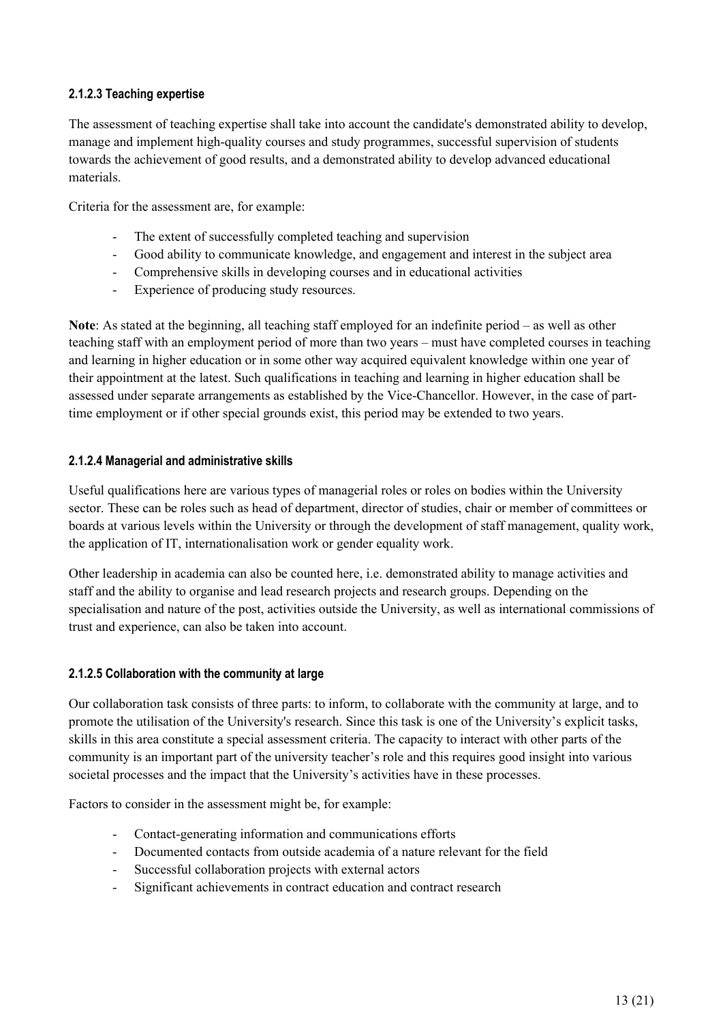#### <span id="page-12-0"></span>**2.1.2.3 Teaching expertise**

The assessment of teaching expertise shall take into account the candidate's demonstrated ability to develop, manage and implement high-quality courses and study programmes, successful supervision of students towards the achievement of good results, and a demonstrated ability to develop advanced educational materials.

Criteria for the assessment are, for example:

- The extent of successfully completed teaching and supervision
- Good ability to communicate knowledge, and engagement and interest in the subject area
- Comprehensive skills in developing courses and in educational activities
- Experience of producing study resources.

**Note**: As stated at the beginning, all teaching staff employed for an indefinite period – as well as other teaching staff with an employment period of more than two years – must have completed courses in teaching and learning in higher education or in some other way acquired equivalent knowledge within one year of their appointment at the latest. Such qualifications in teaching and learning in higher education shall be assessed under separate arrangements as established by the Vice-Chancellor. However, in the case of parttime employment or if other special grounds exist, this period may be extended to two years.

#### <span id="page-12-1"></span>**2.1.2.4 Managerial and administrative skills**

Useful qualifications here are various types of managerial roles or roles on bodies within the University sector. These can be roles such as head of department, director of studies, chair or member of committees or boards at various levels within the University or through the development of staff management, quality work, the application of IT, internationalisation work or gender equality work.

Other leadership in academia can also be counted here, i.e. demonstrated ability to manage activities and staff and the ability to organise and lead research projects and research groups. Depending on the specialisation and nature of the post, activities outside the University, as well as international commissions of trust and experience, can also be taken into account.

#### <span id="page-12-2"></span>**2.1.2.5 Collaboration with the community at large**

Our collaboration task consists of three parts: to inform, to collaborate with the community at large, and to promote the utilisation of the University's research. Since this task is one of the University's explicit tasks, skills in this area constitute a special assessment criteria. The capacity to interact with other parts of the community is an important part of the university teacher's role and this requires good insight into various societal processes and the impact that the University's activities have in these processes.

Factors to consider in the assessment might be, for example:

- Contact-generating information and communications efforts
- Documented contacts from outside academia of a nature relevant for the field
- Successful collaboration projects with external actors
- Significant achievements in contract education and contract research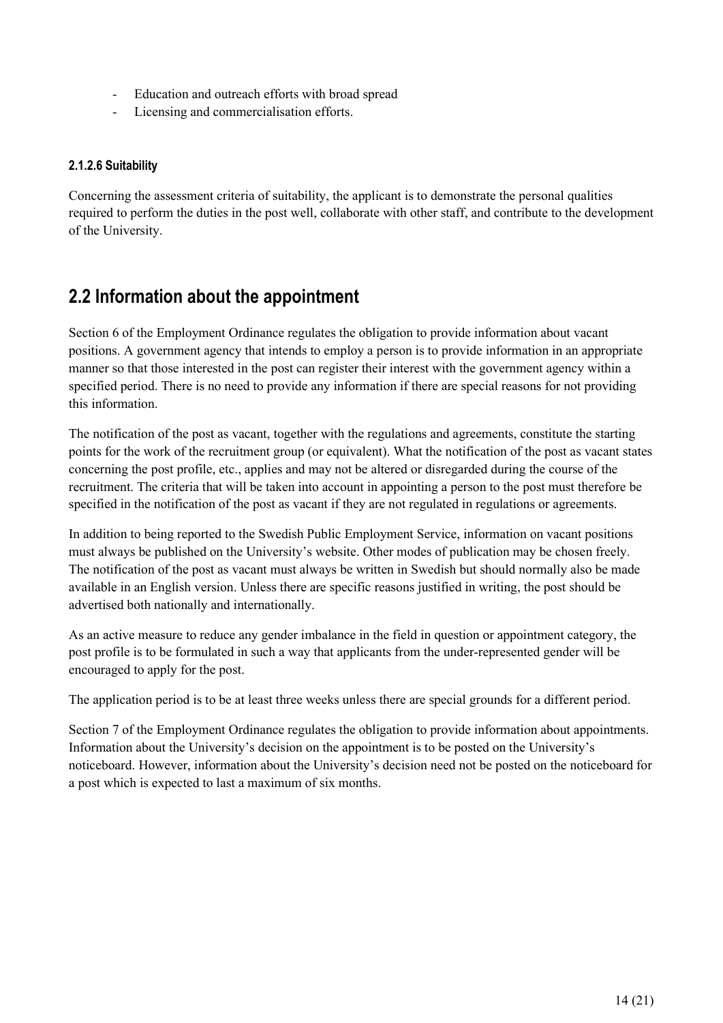- Education and outreach efforts with broad spread
- Licensing and commercialisation efforts.

#### <span id="page-13-0"></span>**2.1.2.6 Suitability**

Concerning the assessment criteria of suitability, the applicant is to demonstrate the personal qualities required to perform the duties in the post well, collaborate with other staff, and contribute to the development of the University.

## <span id="page-13-1"></span>**2.2 Information about the appointment**

Section 6 of the Employment Ordinance regulates the obligation to provide information about vacant positions. A government agency that intends to employ a person is to provide information in an appropriate manner so that those interested in the post can register their interest with the government agency within a specified period. There is no need to provide any information if there are special reasons for not providing this information.

The notification of the post as vacant, together with the regulations and agreements, constitute the starting points for the work of the recruitment group (or equivalent). What the notification of the post as vacant states concerning the post profile, etc., applies and may not be altered or disregarded during the course of the recruitment. The criteria that will be taken into account in appointing a person to the post must therefore be specified in the notification of the post as vacant if they are not regulated in regulations or agreements.

In addition to being reported to the Swedish Public Employment Service, information on vacant positions must always be published on the University's website. Other modes of publication may be chosen freely. The notification of the post as vacant must always be written in Swedish but should normally also be made available in an English version. Unless there are specific reasons justified in writing, the post should be advertised both nationally and internationally.

As an active measure to reduce any gender imbalance in the field in question or appointment category, the post profile is to be formulated in such a way that applicants from the under-represented gender will be encouraged to apply for the post.

The application period is to be at least three weeks unless there are special grounds for a different period.

Section 7 of the Employment Ordinance regulates the obligation to provide information about appointments. Information about the University's decision on the appointment is to be posted on the University's noticeboard. However, information about the University's decision need not be posted on the noticeboard for a post which is expected to last a maximum of six months.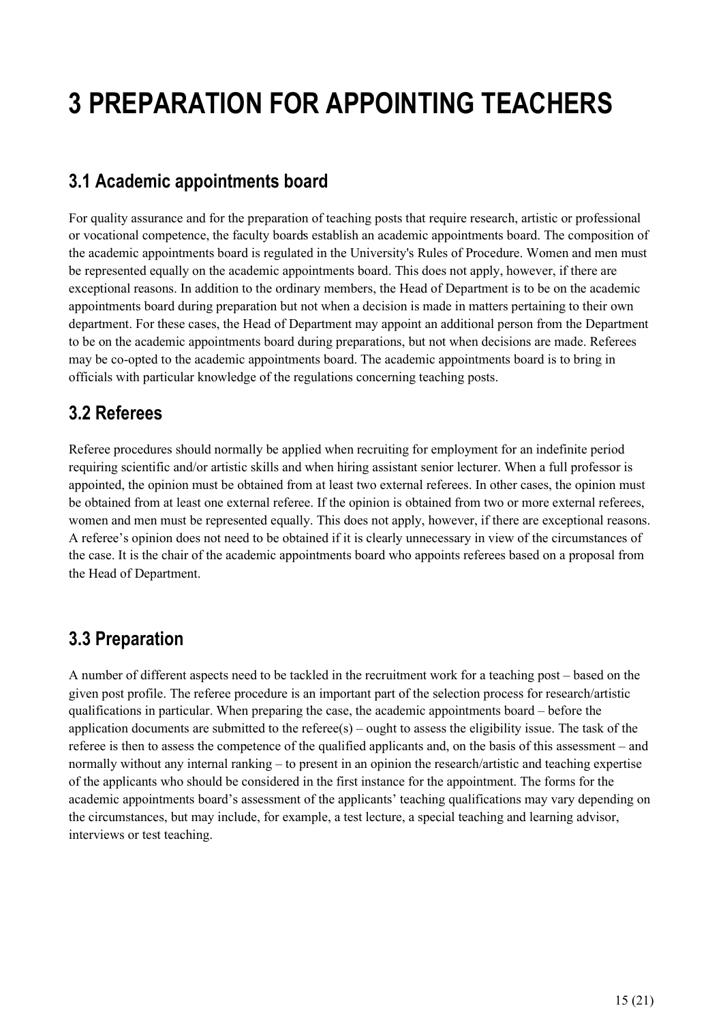## <span id="page-14-0"></span>**3 PREPARATION FOR APPOINTING TEACHERS**

## <span id="page-14-1"></span>**3.1 Academic appointments board**

For quality assurance and for the preparation of teaching posts that require research, artistic or professional or vocational competence, the faculty boards establish an academic appointments board. The composition of the academic appointments board is regulated in the University's Rules of Procedure. Women and men must be represented equally on the academic appointments board. This does not apply, however, if there are exceptional reasons. In addition to the ordinary members, the Head of Department is to be on the academic appointments board during preparation but not when a decision is made in matters pertaining to their own department. For these cases, the Head of Department may appoint an additional person from the Department to be on the academic appointments board during preparations, but not when decisions are made. Referees may be co-opted to the academic appointments board. The academic appointments board is to bring in officials with particular knowledge of the regulations concerning teaching posts.

### <span id="page-14-2"></span>**3.2 Referees**

Referee procedures should normally be applied when recruiting for employment for an indefinite period requiring scientific and/or artistic skills and when hiring assistant senior lecturer. When a full professor is appointed, the opinion must be obtained from at least two external referees. In other cases, the opinion must be obtained from at least one external referee. If the opinion is obtained from two or more external referees, women and men must be represented equally. This does not apply, however, if there are exceptional reasons. A referee's opinion does not need to be obtained if it is clearly unnecessary in view of the circumstances of the case. It is the chair of the academic appointments board who appoints referees based on a proposal from the Head of Department.

### <span id="page-14-3"></span>**3.3 Preparation**

A number of different aspects need to be tackled in the recruitment work for a teaching post – based on the given post profile. The referee procedure is an important part of the selection process for research/artistic qualifications in particular. When preparing the case, the academic appointments board – before the application documents are submitted to the referee(s) – ought to assess the eligibility issue. The task of the referee is then to assess the competence of the qualified applicants and, on the basis of this assessment – and normally without any internal ranking – to present in an opinion the research/artistic and teaching expertise of the applicants who should be considered in the first instance for the appointment. The forms for the academic appointments board's assessment of the applicants' teaching qualifications may vary depending on the circumstances, but may include, for example, a test lecture, a special teaching and learning advisor, interviews or test teaching.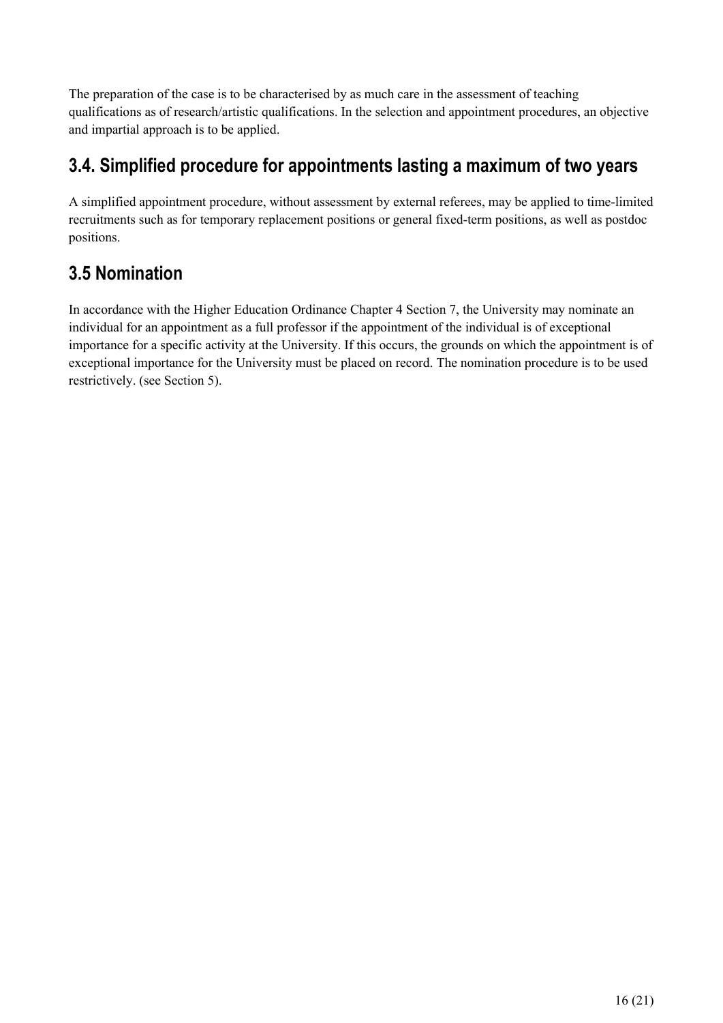The preparation of the case is to be characterised by as much care in the assessment of teaching qualifications as of research/artistic qualifications. In the selection and appointment procedures, an objective and impartial approach is to be applied.

## <span id="page-15-0"></span>**3.4. Simplified procedure for appointments lasting a maximum of two years**

A simplified appointment procedure, without assessment by external referees, may be applied to time-limited recruitments such as for temporary replacement positions or general fixed-term positions, as well as postdoc positions.

## <span id="page-15-1"></span>**3.5 Nomination**

In accordance with the Higher Education Ordinance Chapter 4 Section 7, the University may nominate an individual for an appointment as a full professor if the appointment of the individual is of exceptional importance for a specific activity at the University. If this occurs, the grounds on which the appointment is of exceptional importance for the University must be placed on record. The nomination procedure is to be used restrictively. (see Section 5).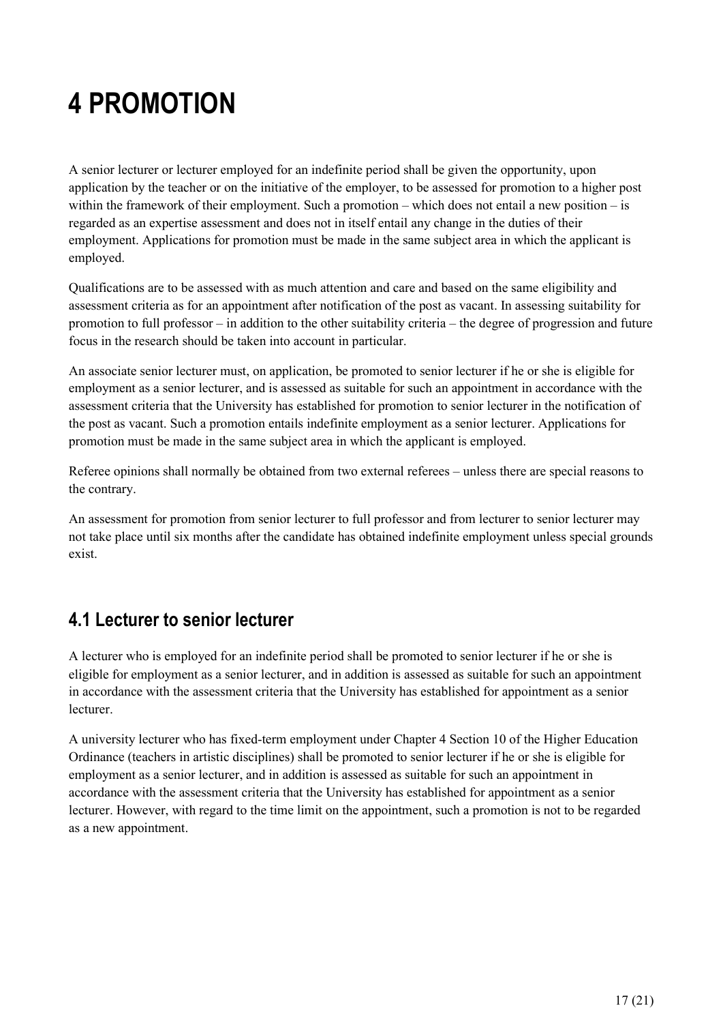## <span id="page-16-0"></span>**4 PROMOTION**

A senior lecturer or lecturer employed for an indefinite period shall be given the opportunity, upon application by the teacher or on the initiative of the employer, to be assessed for promotion to a higher post within the framework of their employment. Such a promotion – which does not entail a new position – is regarded as an expertise assessment and does not in itself entail any change in the duties of their employment. Applications for promotion must be made in the same subject area in which the applicant is employed.

Qualifications are to be assessed with as much attention and care and based on the same eligibility and assessment criteria as for an appointment after notification of the post as vacant. In assessing suitability for promotion to full professor – in addition to the other suitability criteria – the degree of progression and future focus in the research should be taken into account in particular.

An associate senior lecturer must, on application, be promoted to senior lecturer if he or she is eligible for employment as a senior lecturer, and is assessed as suitable for such an appointment in accordance with the assessment criteria that the University has established for promotion to senior lecturer in the notification of the post as vacant. Such a promotion entails indefinite employment as a senior lecturer. Applications for promotion must be made in the same subject area in which the applicant is employed.

Referee opinions shall normally be obtained from two external referees – unless there are special reasons to the contrary.

An assessment for promotion from senior lecturer to full professor and from lecturer to senior lecturer may not take place until six months after the candidate has obtained indefinite employment unless special grounds exist.

### <span id="page-16-1"></span>**4.1 Lecturer to senior lecturer**

A lecturer who is employed for an indefinite period shall be promoted to senior lecturer if he or she is eligible for employment as a senior lecturer, and in addition is assessed as suitable for such an appointment in accordance with the assessment criteria that the University has established for appointment as a senior lecturer.

A university lecturer who has fixed-term employment under Chapter 4 Section 10 of the Higher Education Ordinance (teachers in artistic disciplines) shall be promoted to senior lecturer if he or she is eligible for employment as a senior lecturer, and in addition is assessed as suitable for such an appointment in accordance with the assessment criteria that the University has established for appointment as a senior lecturer. However, with regard to the time limit on the appointment, such a promotion is not to be regarded as a new appointment.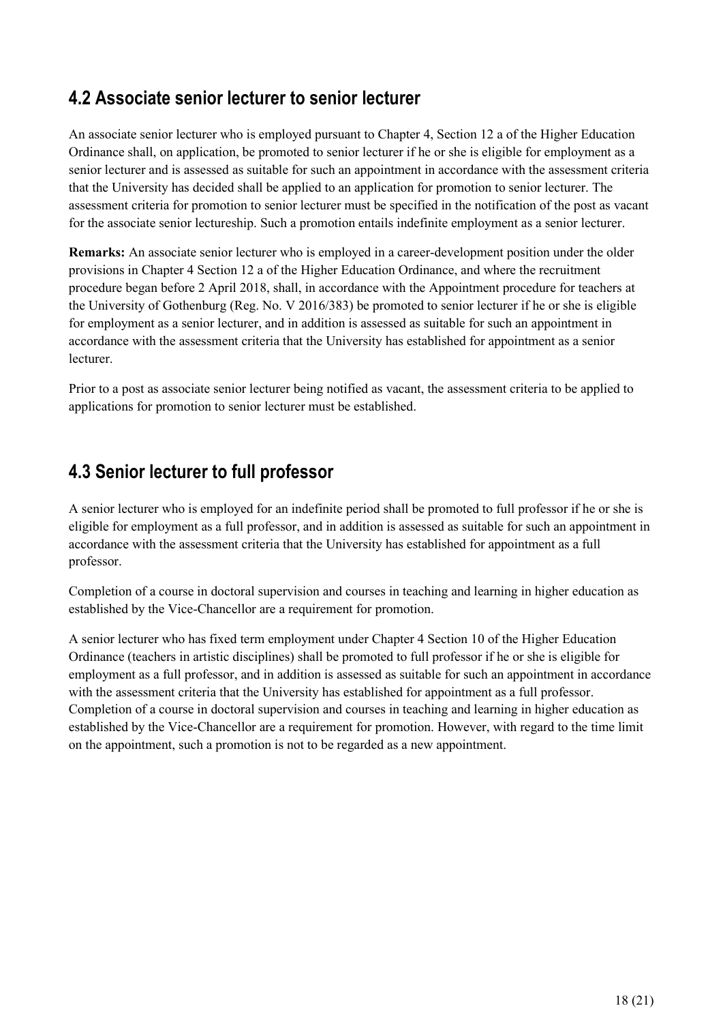### <span id="page-17-0"></span>**4.2 Associate senior lecturer to senior lecturer**

An associate senior lecturer who is employed pursuant to Chapter 4, Section 12 a of the Higher Education Ordinance shall, on application, be promoted to senior lecturer if he or she is eligible for employment as a senior lecturer and is assessed as suitable for such an appointment in accordance with the assessment criteria that the University has decided shall be applied to an application for promotion to senior lecturer. The assessment criteria for promotion to senior lecturer must be specified in the notification of the post as vacant for the associate senior lectureship. Such a promotion entails indefinite employment as a senior lecturer.

**Remarks:** An associate senior lecturer who is employed in a career-development position under the older provisions in Chapter 4 Section 12 a of the Higher Education Ordinance, and where the recruitment procedure began before 2 April 2018, shall, in accordance with the Appointment procedure for teachers at the University of Gothenburg (Reg. No. V 2016/383) be promoted to senior lecturer if he or she is eligible for employment as a senior lecturer, and in addition is assessed as suitable for such an appointment in accordance with the assessment criteria that the University has established for appointment as a senior lecturer.

Prior to a post as associate senior lecturer being notified as vacant, the assessment criteria to be applied to applications for promotion to senior lecturer must be established.

### <span id="page-17-1"></span>**4.3 Senior lecturer to full professor**

A senior lecturer who is employed for an indefinite period shall be promoted to full professor if he or she is eligible for employment as a full professor, and in addition is assessed as suitable for such an appointment in accordance with the assessment criteria that the University has established for appointment as a full professor.

Completion of a course in doctoral supervision and courses in teaching and learning in higher education as established by the Vice-Chancellor are a requirement for promotion.

A senior lecturer who has fixed term employment under Chapter 4 Section 10 of the Higher Education Ordinance (teachers in artistic disciplines) shall be promoted to full professor if he or she is eligible for employment as a full professor, and in addition is assessed as suitable for such an appointment in accordance with the assessment criteria that the University has established for appointment as a full professor. Completion of a course in doctoral supervision and courses in teaching and learning in higher education as established by the Vice-Chancellor are a requirement for promotion. However, with regard to the time limit on the appointment, such a promotion is not to be regarded as a new appointment.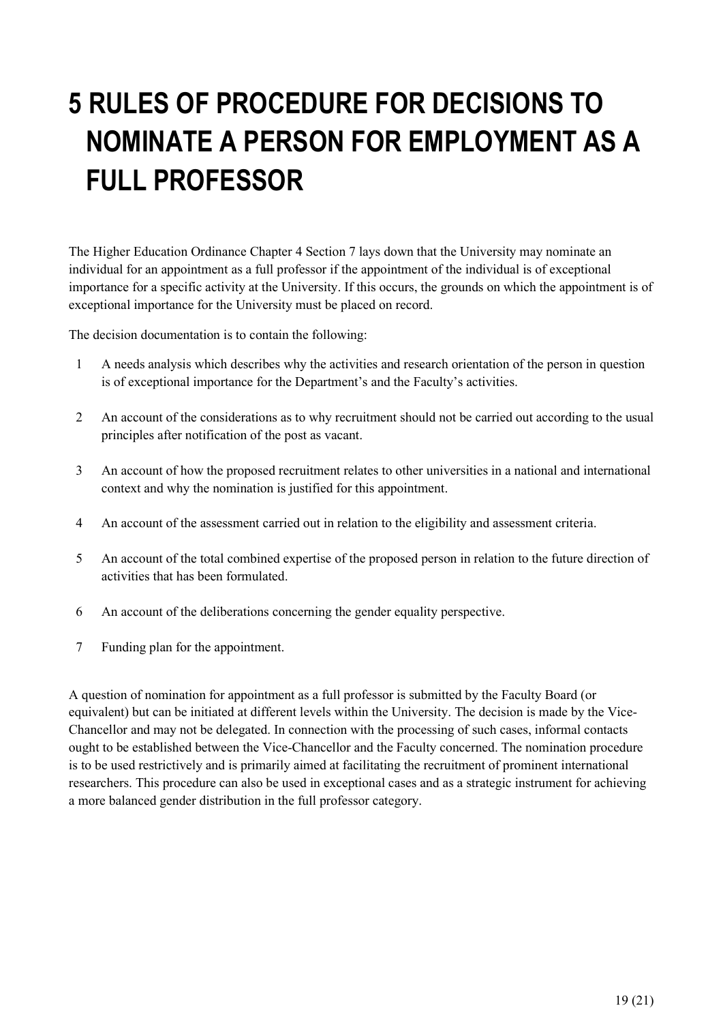## <span id="page-18-0"></span>**5 RULES OF PROCEDURE FOR DECISIONS TO NOMINATE A PERSON FOR EMPLOYMENT AS A FULL PROFESSOR**

The Higher Education Ordinance Chapter 4 Section 7 lays down that the University may nominate an individual for an appointment as a full professor if the appointment of the individual is of exceptional importance for a specific activity at the University. If this occurs, the grounds on which the appointment is of exceptional importance for the University must be placed on record.

The decision documentation is to contain the following:

- 1 A needs analysis which describes why the activities and research orientation of the person in question is of exceptional importance for the Department's and the Faculty's activities.
- 2 An account of the considerations as to why recruitment should not be carried out according to the usual principles after notification of the post as vacant.
- 3 An account of how the proposed recruitment relates to other universities in a national and international context and why the nomination is justified for this appointment.
- 4 An account of the assessment carried out in relation to the eligibility and assessment criteria.
- 5 An account of the total combined expertise of the proposed person in relation to the future direction of activities that has been formulated.
- 6 An account of the deliberations concerning the gender equality perspective.
- 7 Funding plan for the appointment.

A question of nomination for appointment as a full professor is submitted by the Faculty Board (or equivalent) but can be initiated at different levels within the University. The decision is made by the Vice-Chancellor and may not be delegated. In connection with the processing of such cases, informal contacts ought to be established between the Vice-Chancellor and the Faculty concerned. The nomination procedure is to be used restrictively and is primarily aimed at facilitating the recruitment of prominent international researchers. This procedure can also be used in exceptional cases and as a strategic instrument for achieving a more balanced gender distribution in the full professor category.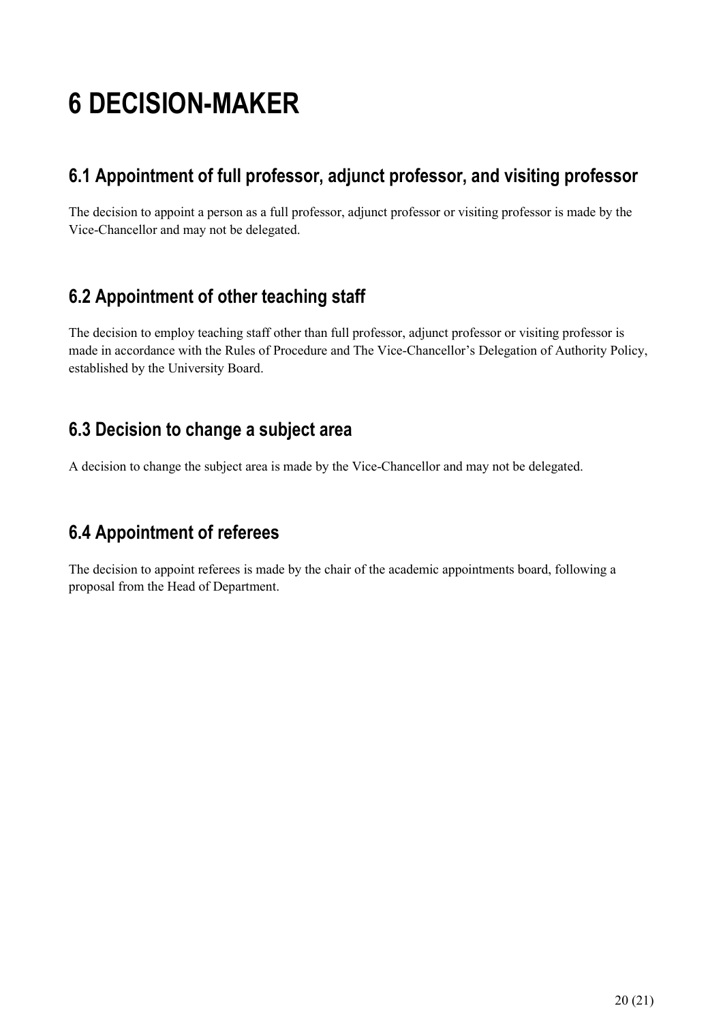## <span id="page-19-0"></span>**6 DECISION-MAKER**

### <span id="page-19-1"></span>**6.1 Appointment of full professor, adjunct professor, and visiting professor**

The decision to appoint a person as a full professor, adjunct professor or visiting professor is made by the Vice-Chancellor and may not be delegated.

## <span id="page-19-2"></span>**6.2 Appointment of other teaching staff**

The decision to employ teaching staff other than full professor, adjunct professor or visiting professor is made in accordance with the Rules of Procedure and The Vice-Chancellor's Delegation of Authority Policy, established by the University Board.

### <span id="page-19-3"></span>**6.3 Decision to change a subject area**

A decision to change the subject area is made by the Vice-Chancellor and may not be delegated.

## <span id="page-19-4"></span>**6.4 Appointment of referees**

The decision to appoint referees is made by the chair of the academic appointments board, following a proposal from the Head of Department.